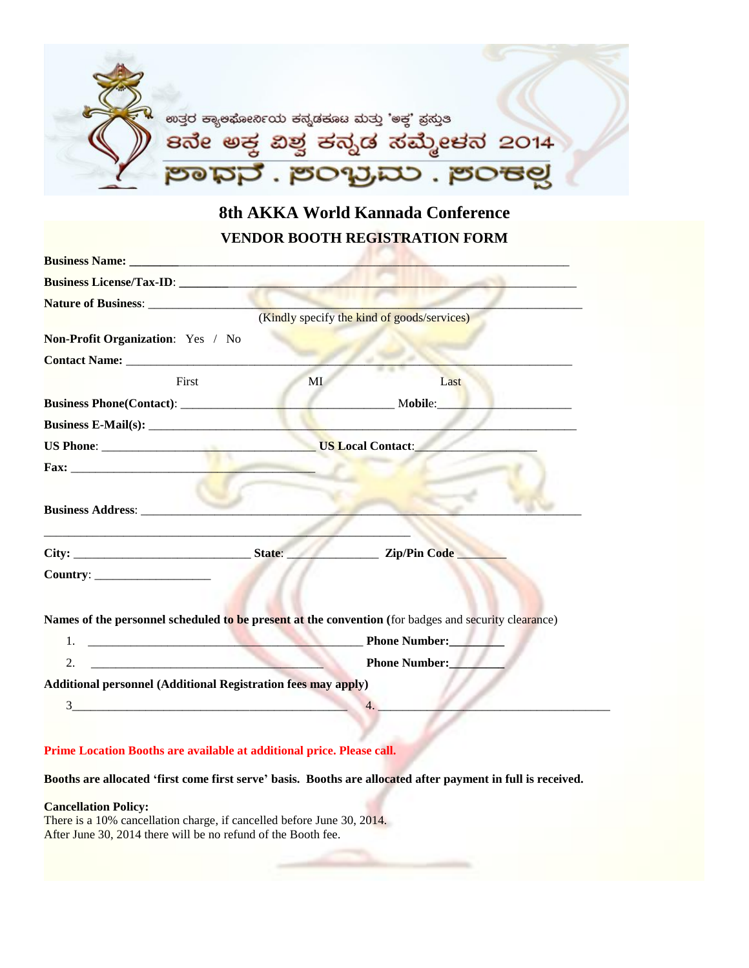

**8th AKKA World Kannada Conference VENDOR BOOTH REGISTRATION FORM**

| <b>Business License/Tax-ID:</b>                                                                                            |    |                                                                                                      |  |
|----------------------------------------------------------------------------------------------------------------------------|----|------------------------------------------------------------------------------------------------------|--|
|                                                                                                                            |    |                                                                                                      |  |
|                                                                                                                            |    | (Kindly specify the kind of goods/services)                                                          |  |
| Non-Profit Organization: Yes / No                                                                                          |    |                                                                                                      |  |
|                                                                                                                            |    |                                                                                                      |  |
| First                                                                                                                      | MI | Last                                                                                                 |  |
|                                                                                                                            |    | Mobile:                                                                                              |  |
|                                                                                                                            |    |                                                                                                      |  |
|                                                                                                                            |    |                                                                                                      |  |
|                                                                                                                            |    |                                                                                                      |  |
| <b>Business Address:</b>                                                                                                   |    |                                                                                                      |  |
|                                                                                                                            |    | <b>Example 21 September 21 September 21 September 21 September 2016</b>                              |  |
| Country:                                                                                                                   |    |                                                                                                      |  |
|                                                                                                                            |    | Names of the personnel scheduled to be present at the convention (for badges and security clearance) |  |
| the company of the company of the company of the company of the company of<br>1.                                           |    | <b>Phone Number:</b>                                                                                 |  |
| 2.<br>the company of the company of the company of the company of the company of the company of the company of the company |    | <b>Phone Number:</b>                                                                                 |  |
| <b>Additional personnel (Additional Registration fees may apply)</b>                                                       |    |                                                                                                      |  |
|                                                                                                                            |    |                                                                                                      |  |
| 3                                                                                                                          |    |                                                                                                      |  |

**Prime Location Booths are available at additional price. Please call.**

**Booths are allocated 'first come first serve' basis. Booths are allocated after payment in full is received.**

### **Cancellation Policy:**

There is a 10% cancellation charge, if cancelled before June 30, 2014. After June 30, 2014 there will be no refund of the Booth fee.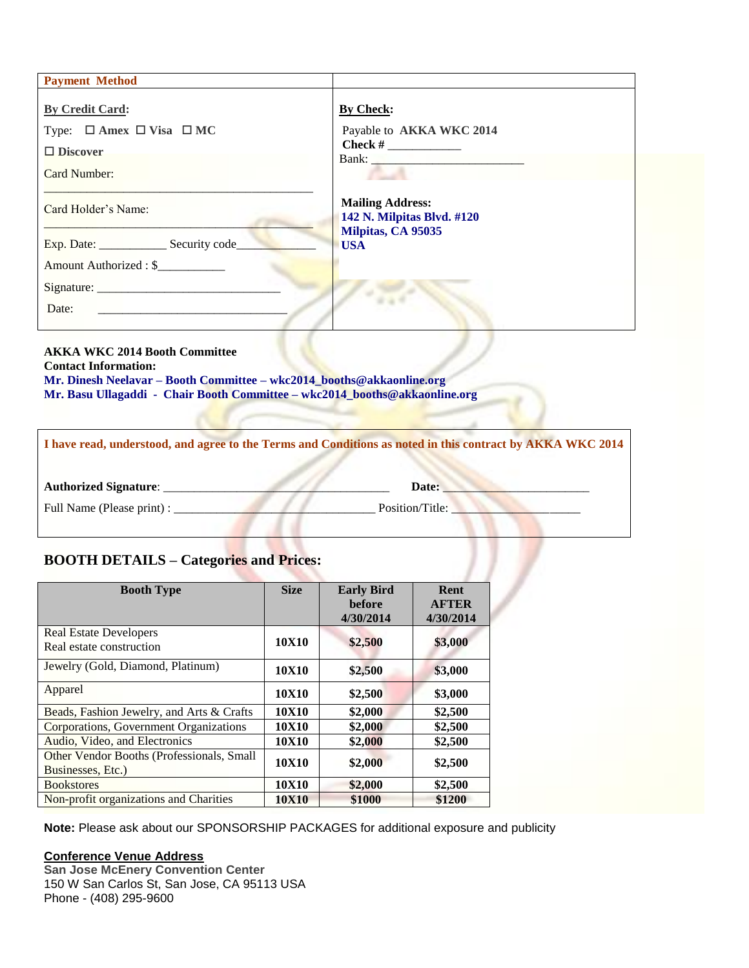| <b>Payment Method</b>                                                                                |                                                                                            |
|------------------------------------------------------------------------------------------------------|--------------------------------------------------------------------------------------------|
| <b>By Credit Card:</b><br>Type: $\Box$ Amex $\Box$ Visa $\Box$ MC<br>$\Box$ Discover<br>Card Number: | <b>By Check:</b><br>Payable to AKKA WKC 2014<br>Bank: New York President Park of the Bank: |
| Card Holder's Name:                                                                                  | <b>Mailing Address:</b><br>142 N. Milpitas Blvd. #120<br>Milpitas, CA 95035<br><b>USA</b>  |
| Amount Authorized : \$<br>Date:                                                                      |                                                                                            |

# **AKKA WKC 2014 Booth Committee**

**Contact Information:**

**Mr. Dinesh Neelavar – Booth Committee – wkc2014\_booths@akkaonline.org Mr. Basu Ullagaddi - Chair Booth Committee – wkc2014\_booths@akkaonline.org**

|                              | I have read, understood, and agree to the Terms and Conditions as noted in this contract by AKKA WKC 2014 |
|------------------------------|-----------------------------------------------------------------------------------------------------------|
| <b>Authorized Signature:</b> | Date:                                                                                                     |
| Full Name (Please print) :   | Position/Title:                                                                                           |

# **BOOTH DETAILS – Categories and Prices:**

| <b>BOOTH DETAILS – Categories and Prices:</b>                  |             |                                                 |                                   |  |  |
|----------------------------------------------------------------|-------------|-------------------------------------------------|-----------------------------------|--|--|
| <b>Booth Type</b>                                              | <b>Size</b> | <b>Early Bird</b><br><b>before</b><br>4/30/2014 | Rent<br><b>AFTER</b><br>4/30/2014 |  |  |
| <b>Real Estate Developers</b><br>Real estate construction      | 10X10       | \$2,500                                         | \$3,000                           |  |  |
| Jewelry (Gold, Diamond, Platinum)                              | 10X10       | \$2,500                                         | \$3,000                           |  |  |
| Apparel                                                        | 10X10       | \$2,500                                         | \$3,000                           |  |  |
| Beads, Fashion Jewelry, and Arts & Crafts                      | 10X10       | \$2,000                                         | \$2,500                           |  |  |
| Corporations, Government Organizations                         | 10X10       | \$2,000                                         | \$2,500                           |  |  |
| Audio, Video, and Electronics                                  | 10X10       | \$2,000                                         | \$2,500                           |  |  |
| Other Vendor Booths (Professionals, Small<br>Businesses, Etc.) | 10X10       | \$2,000                                         | \$2,500                           |  |  |
| <b>Bookstores</b>                                              | 10X10       | \$2,000                                         | \$2,500                           |  |  |
| Non-profit organizations and Charities                         | 10X10       | \$1000                                          | \$1200                            |  |  |

**Note:** Please ask about our SPONSORSHIP PACKAGES for additional exposure and publicity

# **Conference Venue Address**

**San Jose McEnery Convention Center** 150 W San Carlos St, San Jose, CA 95113 USA Phone - (408) 295-9600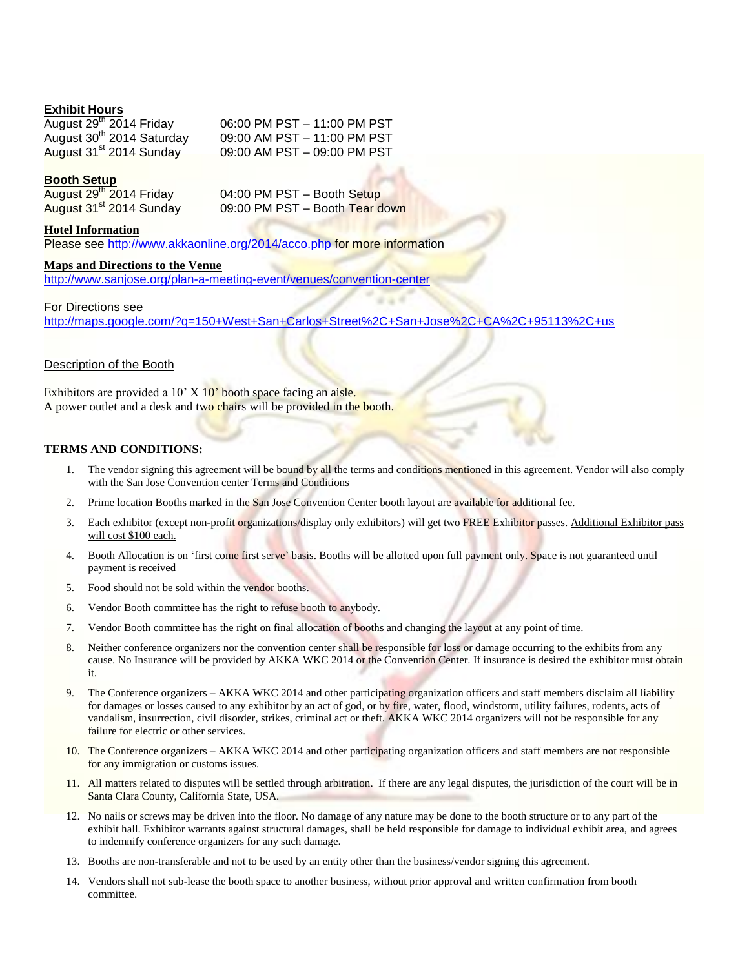# **Exhibit Hours**

August 30<sup>th</sup> 2014 Saturday

August  $29<sup>th</sup>$  2014 Friday 06:00 PM PST – 11:00 PM PST 09:00 AM PST – 11:00 PM PST August 31<sup>st</sup> 2014 Sunday 09:00 AM PST – 09:00 PM PST

# **Booth Setup**

August 29<sup>th</sup> 2014 Friday<br>August 31<sup>st</sup> 2014 Sunday

04:00 PM PST – Booth Setup 09:00 PM PST – Booth Tear down

### **Hotel Information**

Please see<http://www.akkaonline.org/2014/acco.php> for more information

#### **Maps and Directions to the Venue**

<http://www.sanjose.org/plan-a-meeting-event/venues/convention-center>

#### For Directions see

<http://maps.google.com/?q=150+West+San+Carlos+Street%2C+San+Jose%2C+CA%2C+95113%2C+us>

#### Description of the Booth

Exhibitors are provided a  $10'$  X  $10'$  booth space facing an aisle. A power outlet and a desk and two chairs will be provided in the booth.

### **TERMS AND CONDITIONS:**

- 1. The vendor signing this agreement will be bound by all the terms and conditions mentioned in this agreement. Vendor will also comply with the San Jose Convention center Terms and Conditions
- 2. Prime location Booths marked in the San Jose Convention Center booth layout are available for additional fee.
- 3. Each exhibitor (except non-profit organizations/display only exhibitors) will get two FREE Exhibitor passes. Additional Exhibitor pass will cost \$100 each.
- 4. Booth Allocation is on 'first come first serve' basis. Booths will be allotted upon full payment only. Space is not guaranteed until payment is received
- 5. Food should not be sold within the vendor booths.
- 6. Vendor Booth committee has the right to refuse booth to anybody.
- 7. Vendor Booth committee has the right on final allocation of booths and changing the layout at any point of time.
- 8. Neither conference organizers nor the convention center shall be responsible for loss or damage occurring to the exhibits from any cause. No Insurance will be provided by AKKA WKC 2014 or the Convention Center. If insurance is desired the exhibitor must obtain it.
- 9. The Conference organizers AKKA WKC 2014 and other participating organization officers and staff members disclaim all liability for damages or losses caused to any exhibitor by an act of god, or by fire, water, flood, windstorm, utility failures, rodents, acts of vandalism, insurrection, civil disorder, strikes, criminal act or theft. AKKA WKC 2014 organizers will not be responsible for any failure for electric or other services.
- 10. The Conference organizers AKKA WKC 2014 and other participating organization officers and staff members are not responsible for any immigration or customs issues.
- 11. All matters related to disputes will be settled through arbitration. If there are any legal disputes, the jurisdiction of the court will be in Santa Clara County, California State, USA.
- 12. No nails or screws may be driven into the floor. No damage of any nature may be done to the booth structure or to any part of the exhibit hall. Exhibitor warrants against structural damages, shall be held responsible for damage to individual exhibit area, and agrees to indemnify conference organizers for any such damage.
- 13. Booths are non-transferable and not to be used by an entity other than the business/vendor signing this agreement.
- 14. Vendors shall not sub-lease the booth space to another business, without prior approval and written confirmation from booth committee.